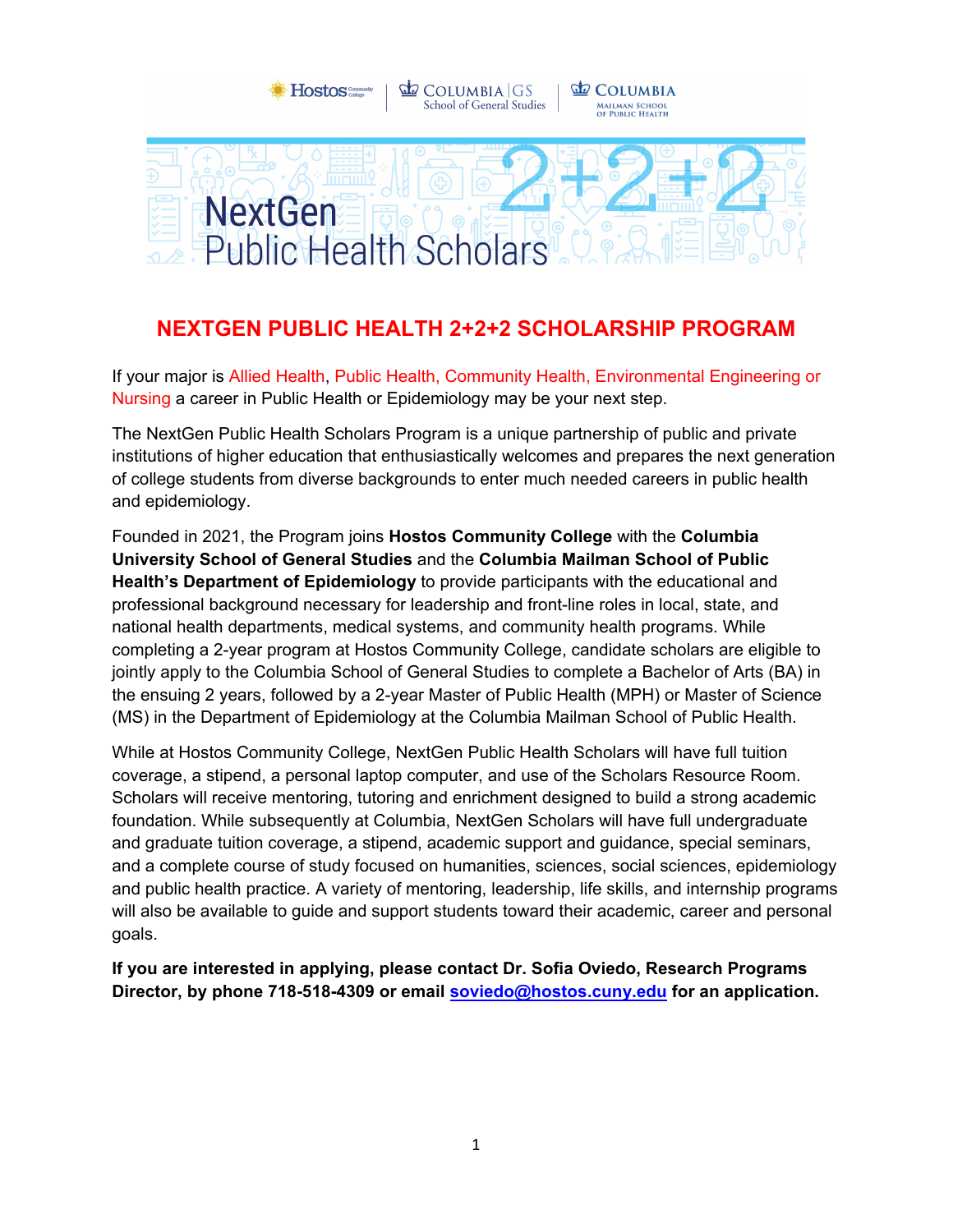

COLUMBIA GS

**Hostos:** 

**L** COLUMBIA

### **NEXTGEN PUBLIC HEALTH 2+2+2 SCHOLARSHIP PROGRAM**

If your major is Allied Health, Public Health, Community Health, Environmental Engineering or Nursing a career in Public Health or Epidemiology may be your next step.

The NextGen Public Health Scholars Program is a unique partnership of public and private institutions of higher education that enthusiastically welcomes and prepares the next generation of college students from diverse backgrounds to enter much needed careers in public health and epidemiology.

Founded in 2021, the Program joins **Hostos Community College** with the **Columbia University School of General Studies** and the **Columbia Mailman School of Public Health's Department of Epidemiology** to provide participants with the educational and professional background necessary for leadership and front-line roles in local, state, and national health departments, medical systems, and community health programs. While completing a 2-year program at Hostos Community College, candidate scholars are eligible to jointly apply to the Columbia School of General Studies to complete a Bachelor of Arts (BA) in the ensuing 2 years, followed by a 2-year Master of Public Health (MPH) or Master of Science (MS) in the Department of Epidemiology at the Columbia Mailman School of Public Health.

While at Hostos Community College, NextGen Public Health Scholars will have full tuition coverage, a stipend, a personal laptop computer, and use of the Scholars Resource Room. Scholars will receive mentoring, tutoring and enrichment designed to build a strong academic foundation. While subsequently at Columbia, NextGen Scholars will have full undergraduate and graduate tuition coverage, a stipend, academic support and guidance, special seminars, and a complete course of study focused on humanities, sciences, social sciences, epidemiology and public health practice. A variety of mentoring, leadership, life skills, and internship programs will also be available to guide and support students toward their academic, career and personal goals.

**If you are interested in applying, please contact Dr. Sofia Oviedo, Research Programs Director, by phone 718-518-4309 or email [soviedo@hostos.cuny.edu](mailto:soviedo@hostos.cuny.edu) for an application.**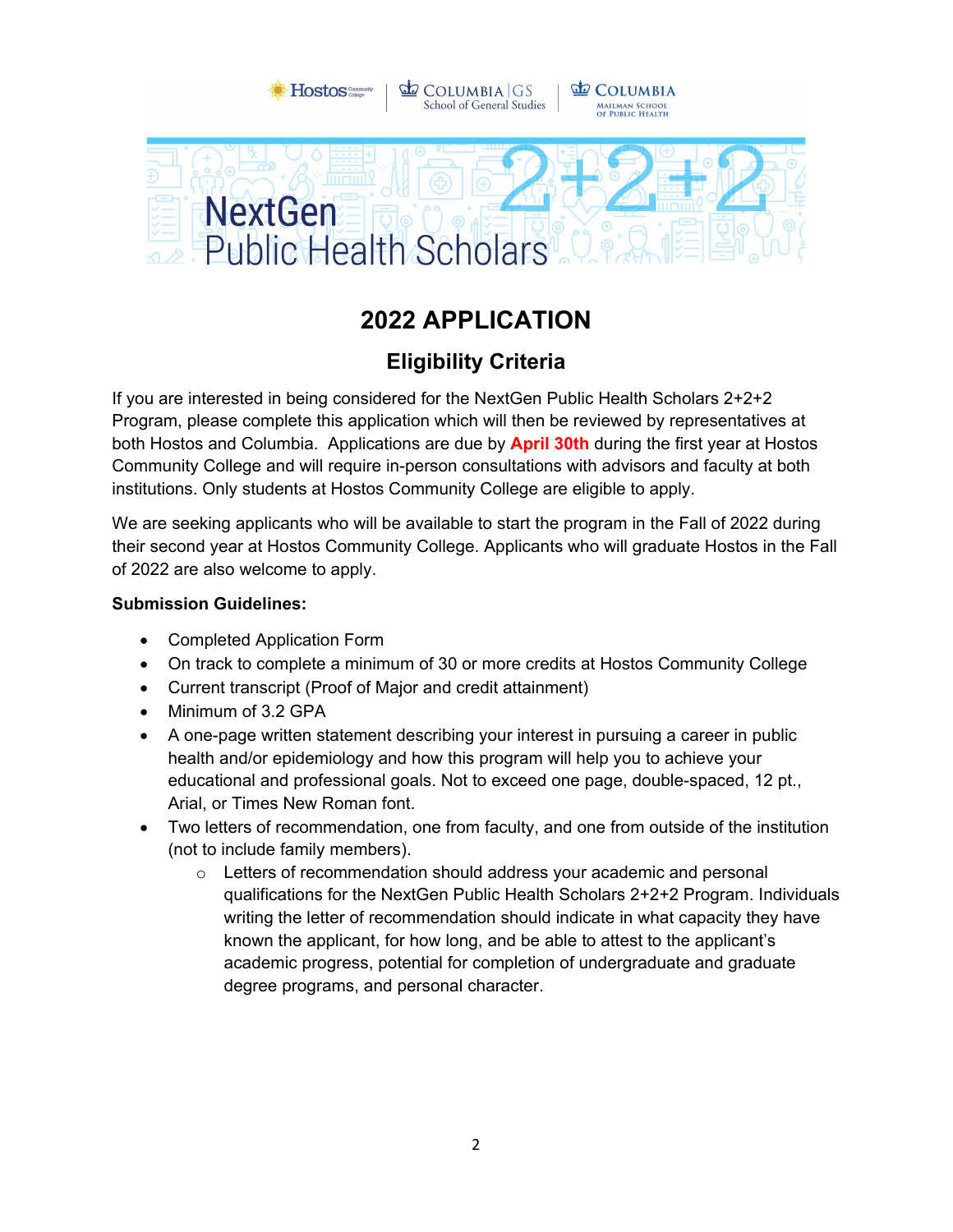

# **2022 APPLICATION**

## **Eligibility Criteria**

If you are interested in being considered for the NextGen Public Health Scholars 2+2+2 Program, please complete this application which will then be reviewed by representatives at both Hostos and Columbia. Applications are due by **April 30th** during the first year at Hostos Community College and will require in-person consultations with advisors and faculty at both institutions. Only students at Hostos Community College are eligible to apply.

We are seeking applicants who will be available to start the program in the Fall of 2022 during their second year at Hostos Community College. Applicants who will graduate Hostos in the Fall of 2022 are also welcome to apply.

#### **Submission Guidelines:**

- Completed Application Form
- On track to complete a minimum of 30 or more credits at Hostos Community College
- Current transcript (Proof of Major and credit attainment)
- Minimum of 3.2 GPA
- A one-page written statement describing your interest in pursuing a career in public health and/or epidemiology and how this program will help you to achieve your educational and professional goals. Not to exceed one page, double-spaced, 12 pt., Arial, or Times New Roman font.
- Two letters of recommendation, one from faculty, and one from outside of the institution (not to include family members).
	- o Letters of recommendation should address your academic and personal qualifications for the NextGen Public Health Scholars 2+2+2 Program. Individuals writing the letter of recommendation should indicate in what capacity they have known the applicant, for how long, and be able to attest to the applicant's academic progress, potential for completion of undergraduate and graduate degree programs, and personal character.